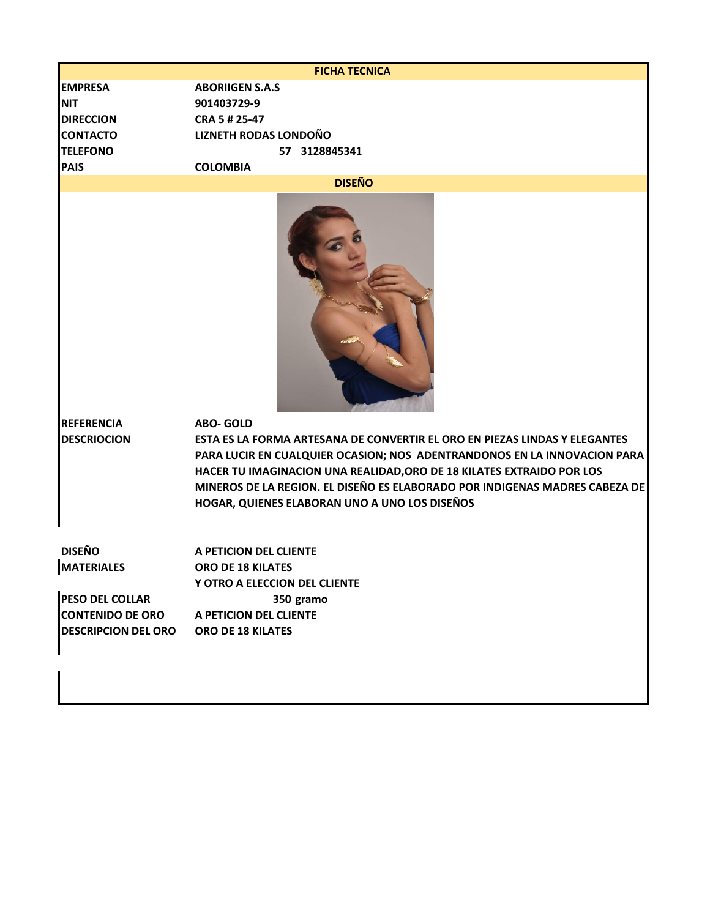| <b>FICHA TECNICA</b>                    |                                                                                                                                                                                                                                                                                                             |
|-----------------------------------------|-------------------------------------------------------------------------------------------------------------------------------------------------------------------------------------------------------------------------------------------------------------------------------------------------------------|
| <b>EMPRESA</b><br><b>NIT</b>            | <b>ABORIIGEN S.A.S</b><br>901403729-9                                                                                                                                                                                                                                                                       |
| <b>DIRECCION</b>                        | CRA 5 # 25-47                                                                                                                                                                                                                                                                                               |
|                                         | LIZNETH RODAS LONDOÑO                                                                                                                                                                                                                                                                                       |
| <b>CONTACTO</b>                         |                                                                                                                                                                                                                                                                                                             |
| <b>TELEFONO</b>                         | 57 3128845341                                                                                                                                                                                                                                                                                               |
| <b>PAIS</b>                             | <b>COLOMBIA</b><br><b>DISEÑO</b>                                                                                                                                                                                                                                                                            |
| <b>REFERENCIA</b><br><b>DESCRIOCION</b> | <b>ABO-GOLD</b><br>ESTA ES LA FORMA ARTESANA DE CONVERTIR EL ORO EN PIEZAS LINDAS Y ELEGANTES                                                                                                                                                                                                               |
| <b>DISEÑO</b>                           | PARA LUCIR EN CUALQUIER OCASION; NOS ADENTRANDONOS EN LA INNOVACION PARA<br>HACER TU IMAGINACION UNA REALIDAD, ORO DE 18 KILATES EXTRAIDO POR LOS<br>MINEROS DE LA REGION. EL DISEÑO ES ELABORADO POR INDIGENAS MADRES CABEZA DE<br>HOGAR, QUIENES ELABORAN UNO A UNO LOS DISEÑOS<br>A PETICION DEL CLIENTE |
| <b>MATERIALES</b>                       | ORO DE 18 KILATES                                                                                                                                                                                                                                                                                           |
|                                         | Y OTRO A ELECCION DEL CLIENTE                                                                                                                                                                                                                                                                               |
| <b>PESO DEL COLLAR</b>                  | 350 gramo                                                                                                                                                                                                                                                                                                   |
| <b>CONTENIDO DE ORO</b>                 | A PETICION DEL CLIENTE                                                                                                                                                                                                                                                                                      |
| <b>DESCRIPCION DEL ORO</b>              | ORO DE 18 KILATES                                                                                                                                                                                                                                                                                           |
|                                         |                                                                                                                                                                                                                                                                                                             |